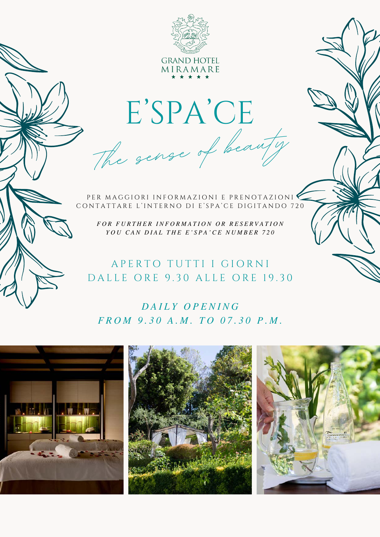

E'SPA'CE The sense of beauty

PER MAGGIORI INFORMAZIONI E PRENOTAZIONI CONTATTARE L'INTERNO DI E'SPA'CE DIGITANDO 720

*F O R F U R T H E R I N F O R M A T I O N O R R E S E R V A T I O N YOU CAN DIAL THE E'SPA'CE NUMBER 720* 

# A PERTO TUTTI I GIORNI D A L L E O R E 9.30 A L L E O R E 19.30

# *D A I L Y O P E N I N G F R O M 9 . 3 0 A . M . T O 0 7 . 3 0 P . M .*

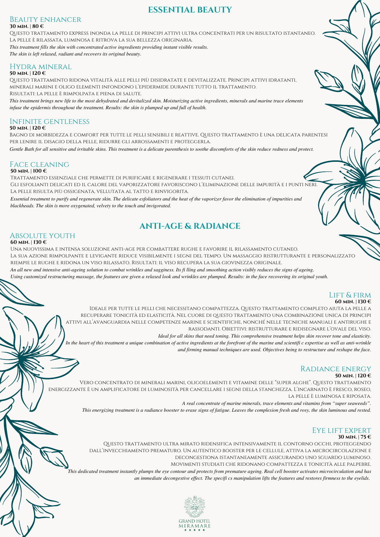## **ESSENTIAL BEAUTY**

#### **30 min. | 80 €** Beauty enhancer

Questo trattamento express inonda la pelle di principi attivi ultra concentrati per un risultato istantaneo. La pelle è rilassata, luminosa e ritrova la sua bellezza originaria. *This treatment fills the skin with concentrated active ingredients providing instant visible results.*

*The skin is left relaxed, radiant and recovers its original beauty.*

*blackheads. The skin is more oxygenated, velvety to the touch and invigorated.*

## Hydra mineral

**50 min. | 120 €**

Questo trattamento ridona vitalità alle pelli più disidratate e devitalizzate. Principi attivi idratanti, minerali marini e oligo elementi infondono l'epidermide durante tutto il trattamento. Risultati: la pelle è rimpolpata e piena di salute.

*This treatment brings new life to the most dehydrated and devitalized skin. Moisturizing active ingredients, minerals and marine trace elements infuse the epidermis throughout the treatment. Results: the skin is plumped up and full of health.*

## Infinite gentleness

**50 min. | 120 €**

Bagno di morbidezza e comfort per tutte le pelli sensibili e reattive. Questo trattamento è una delicata parentesi per lenire il disagio della pelle, ridurre gli arrossamenti e proteggerla.

*Gentle Bath for all sensitive and irritable skins. This treatment is a delicate parenthesis to soothe discomforts of the skin reduce redness and protect.*

## Face cleaning

**50 min. | 100 €**

Trattamento essenziale che permette di purificare e rigenerare i tessuti cutanei. Gli esfolianti delicati ed il calore del vaporizzatore favoriscono l'eliminazione delle impurità e i punti neri. La pelle risulta più ossigenata, vellutata al tatto e rinvigorita. *Essential treatment to purify and regenerate skin. The delicate exfoliators and the heat of the vaporizer favor the elimination of impurities and*

# **ANTI-AGE & RADIANCE**

#### Absolute youth **60 min. | 130 €**

Una nuovissima e intensa soluzione anti-age per combattere rughe e favorire il rilassamento cutaneo. La sua azione rimpolpante e levigante riduce visibilmente i segni del tempo. Un massaggio ristrutturante e personalizzato riempie le rughe e ridona un viso rilassato. Risultati: il viso recupera la sua giovinezza originale.

*An all new and intensive anti-ageing solution to combat wrinkles and sagginess. Its fi lling and smoothing action visibly reduces the signs of ageing.*

*Using customized restructuring massage, the features are given a relaxed look and wrinkles are plumped. Results: in the face recovering its original youth.*

#### Lift & firm **60 min. | 130 €**

Ideale per tutte le pelli che necessitano compattezza. Questo trattamento completo aiuta la pelle a recuperare tonicità ed elasticità. Nel cuore di questo trattamento una combinazione unica di principi attivi all'avanguardia nelle competenze marine e scientifiche, nonché nelle tecniche manuali e antirughe e rassodanti. Obiettivi: ristrutturare e ridisegnare l'ovale del viso.

*Ideal for all skins that need toning. This comprehensive treatment helps skin recover tone and elasticity.*

*In the heart of this treatment a unique combination of active ingredients at the forefront of the marine and scientifi c expertise as well as anti-wrinkle*

*and firming manual techniques are used. Objectives being to restructure and reshape the face.*

## Radiance energy

#### **50 min. | 120 €**

Vero concentrato di minerali marini, oligoelementi e vitamine delle "super alghe". Questo trattamento energizzante è un amplificatore di luminosità per cancellare i segni della stanchezza. L'incarnato è fresco, roseo, la pelle è luminosa e riposata.

*A real concentrate of marine minerals, trace elements and vitamins from "super seaweeds".*

*This energizing treatment is a radiance booster to erase signs of fatigue. Leaves the complexion fresh and rosy, the skin luminous and rested.*

## Eye lift expert

### **30 min. | 75 €**

Questo trattamento ultra mirato ridensifica intensivamente il contorno occhi, proteggendo dall'invecchiamento prematuro. Un autentico booster per le cellule, attiva la microcircolazione e decongestiona istantaneamente assicurando uno sguardo luminoso.

Movimenti studiati che ridonano compattezza e tonicità alle palpebre.

*This dedicated treatment instantly plumps the eye contour and protects from premature ageing. Real cell booster activates microcirculation and has an immediate decongestive effect. The specifi cs manipulation lifts the features and restores firmness to the eyelids*.

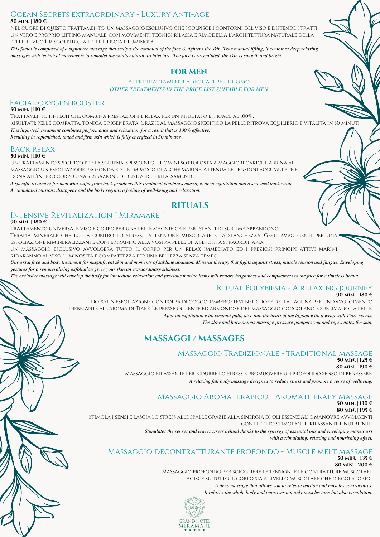## **80 min. | 180 €** Ocean Secrets extraordinary - Luxury Anti-Age

Nel cuore di questo trattamento, un massaggio esclusivo che scolpisce i contorni del viso e distende i tratti. Un vero e proprio lifting manuale, con movimenti tecnici rilassa e rimodella l'architettura naturale della pelle. Il viso è riscolpito, la pelle è liscia e luminosa.

*This facial is composed of a signature massage that sculpts the contours of the face & tightens the skin. True manual lifting, it combines deep relaxing massages with technical movements to remodel the skin's natural architecture. The face is re-sculpted, the skin is smooth and bright.*

## **FOR MEN**

Altri trattamenti adeguati per l'uomo *OTHER TREATMENTS IN THE PRICE LIST SUITABLE FOR MEN*

## Facial oxygen booster

#### **50 min. | 110 €**

Trattamento hi-tech che combina prestazioni e relax per un risultato efficace al 100% . Risultati: pelle compatta, tonica e rigenerata. Grazie al massaggio specifico la pelle ritrova equilibrio e vitalità in 50 minuti. *This high-tech treatment combines performance and relaxation for a result that is 100% effective. Resulting in replenished, toned and firm skin which is fully energized in 50 minutes.*

## Back relax

### **50 min. | 110 €**

Un trattamento specifico per la schiena, spesso negli uomini sottoposta a maggiori carichi, abbina al massaggio un esfoliazione profonda ed un impacco di alghe marine. Attenua le tensioni accumulate e dona all'intero corpo una sensazione di benessere e rilassamento.

*A specific treatment for men who suffer from back problems this treatment combines massage, deep exfoliation and a seaweed back wrap. Accumulated tensions disappear and the body regains a feeling of well-being and relaxation.*

# **RITUALS**

## Intensive Revitalization " Miramare "

#### **90 min. | 180 €**

Trattamento universale viso e corpo per una pelle magnifica e per istanti di sublime abbandono. Terapia minerale che lotta contro lo stress, la tensione muscolare e la stanchezza. Gesti avvolgenti per una esfoliazione rimineralizzante conferiranno alla vostra pelle una setosità straordinaria.

Un massaggio esclusivo avvolgerà tutto il corpo per un relax immediato ed i preziosi principi attivi marini ridaranno al viso luminosità e compattezza per una bellezza senza tempo.

*Universal face and body treatment for magnificent skin and moments of sublime abandon. Mineral therapy that fights against stress, muscle tension and fatigue. Enveloping gestures for a remineralizing exfoliation gives your skin an extraordinary silkiness.*

*The exclusive massage will envelop the body for immediate relaxation and precious marine items will restore brightness and compactness to the face for a timeless beauty.*

#### Ritual Polynesia - A relaxing journey **90 min. | 180 €**

#### Dopo un'esfoliazione con polpa di cocco, immergetevi nel cuore della laguna per un avvolgimento inebriante all'aroma di Tiarè. Le pressioni lente ed armoniose del massaggio coccolano e sublimano la pelle. *After an exfoliation with coconut pulp, dive into the heart of the lagoon with a wrap with Tiare scents. The slow and harmonious massage pressure pampers you and rejuvenates the skin.*

## **MASSAGGI / MASSAGES**

## Massaggio Tradizionale - traditional massage

#### **50 min. | 125 € 80 min. | 190 €**

Massaggio rilassante per ridurre lo stress e promuovere un profondo senso di benessere. *A relaxing full body massage designed to reduce stress and promote a sense of wellbeing.*

## Massaggio Aromaterapico - Aromatherapy Massage

## **50 min. | 130 €**

**80 min. | 195 €**

Stimola i sensi e lascia lo stress alle spalle grazie alla sinergia di oli essenziali e manovre avvolgenti con effetto stimolante, rilassante e nutriente.

> *Stimulates the senses and leaves stress behind thanks to the synergy of essential oils and enveloping maneuvers with a stimulating, relaxing and nourishing effect.*

#### Massaggio decontratturante profondo - Muscle melt massage **50 min. | 135 € 80 min. | 200 €**

Massaggio profondo per sciogliere le tensioni e le contratture muscolari. Agisce su tutto il corpo sia a livello muscolare che circolatorio. *A deep massage that allows you to release tension and muscles contractures. It relaxes the whole body and improves not only muscles tone but also circulation.*

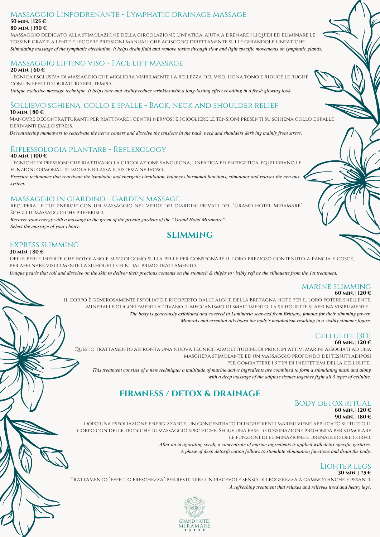#### **50 min. | 125 € 80 min. | 190 €** Massaggio Linfodrenante - Lymphatic drainage massage

Massaggio dedicato alla stimolazione della circolazione linfatica, aiuta a drenare i liquidi ed eliminare le tossine grazie a lente e leggere pressioni manuali che agiscono direttamente sulle ghiandole linfatiche. *Stimulating massage of the lymphatic circulation, it helps drain fluid and remove toxins through slow and light specific movements on lymphatic glands.*

#### Massaggio lifting viso - Face lift massage **20 min. | 60 €**

Tecnica esclusiva di massaggio che migliora visibilmente la bellezza del viso. Dona tono e riduce le rughe con un effetto duraturo nel tempo.

*Unique exclusive massage technique. It helps tone and visibly reduce wrinkles with a long-lasting effect resulting in a fresh glowing look.*

### Sollievo schiena, collo e spalle - Back, neck and shoulder relief **30 min. | 80 €**

Manovre decontratturanti per riattivare i centri nervosi e sciogliere le tensioni presenti su schiena collo e spalle derivanti dallo stress.

*Decontracting maneuvers to reactivate the nerve centers and dissolve the tensions in the back, neck and shoulders deriving mainly from stress.*

## Riflessologia plantare - Reflexology

**40 min. | 100 €**

Tecniche di pressioni che riattivano la circolazione sanguigna, linfatica ed energetica, equilibrano le funzioni ormonali stimola e rilassa il sistema nervoso.

*Pressure techniques that reactivate the lymphatic and energetic circulation, balances hormonal functions, stimulates and relaxes the nervous system.*

## Massaggio in giardino - Garden massage

Recupera le tue energie con un massaggio nel verde dei giardini privati del "Grand Hotel Miramare". Scegli il massaggio che preferisci.

*Recover your energy with a massage in the green of the private gardens of the "Grand Hotel Miramare". Select the massage of your choice.*

## **SLIMMING**

## Express slimming

#### **30 min. | 80 €**

Delle perle inedite che rotolano e si sciolgono sulla pelle per consegnare il loro prezioso contenuto a pancia e cosce, per affi nare visibilmente la silhouette fi n dal primo trattamento.

*Unique pearls that roll and dissolve on the skin to deliver their precious contents on the stomach & thighs to visibly refi ne the silhouette from the 1st treatment.*

### Marine slimming

#### **60 min. | 120 €**

Il corpo è generosamente esfoliato e ricoperto dalle alghe della Bretagna note per il loro potere snellente. Minerali e oligoelementi attivano il meccanismo di smaltimento, la silhouette si affi na visibilmente. . *The body is generously exfoliated and covered in Laminaria seaweed from Brittany, famous for their slimming power. Minerals and essential oils boost the body's metabolism resulting in a visibly slimmer figure.*

#### Cellulite [3D] **60 min. | 120 €**

Questo trattamento affronta una nuova tecnicità: moltitudine di principi attivi marini associati ad una maschera stimolante ed un massaggio profondo dei tessuti adiposi per combattere i 3 tipi di inestetismi della cellulite.. *This treatment consists of a new technique: a multitude of marine active ingredients are combined to form a stimulating mask and along*

**FIRMNESS / DETOX & DRAINAGE**

## Body detox ritual **60 min. | 120 €**

### **90 min. | 180 €**

Dopo una esfoliazione energizzante, un concentrato di ingredienti marini viene applicato su tutto il corpo con delle tecniche di massaggio specifiche. Segue una fase detossinazione profonda per stimolare le funzioni di eliminazione e drenaggio del corpo.

*After an invigorating scrub, a concentrate of marine ingredients is applied with detox specific gestures.*

*A phase of deep detoxifi cation follows to stimulate elimination functions and drain the body.*

*with a deep massage of the adipose tissues together fight all 3 types of cellulite.*

#### Lighter legs **30 min. | 75 €**

Trattamento "effetto freschezza" per restituire un piacevole senso di leggerezza a gambe stanche e pesanti. *A refreshing treatment that relaxes and relieves tired and heavy legs.*

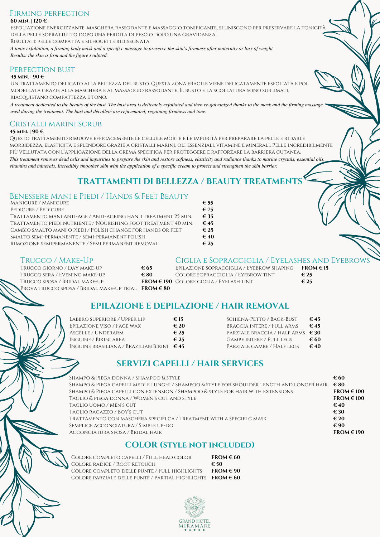### **60 min. | 120 €** Firming perfection

Esfoliazione energizzante, maschera rassodante e massaggio tonificante, si uniscono per preservare la tonicità della pelle soprattutto dopo una perdita di peso o dopo una gravidanza.

Risultati: pelle compatta e silhouette ridisegnata.

*A tonic exfoliation, a firming body mask and a specifi c massage to preserve the skin's firmness after maternity or loss of weight. Results: the skin is firm and the figure sculpted.*

## PERFECTION BUST

### **45 min. | 90 €**

Un trattamento delicato alla bellezza del busto. Questa zona fragile viene delicatamente esfoliata e poi modellata grazie alla maschera e al massaggio rassodante. Il busto e la scollatura sono sublimati, riacquistano compattezza e tono.

*A treatment dedicated to the beauty of the bust. The bust area is delicately exfoliated and then re-galvanized thanks to the mask and the firming massage used during the treatment. The bust and décolleté are rejuvenated, regaining firmness and tone.*

# Cristalli marini scrub

## **45 min. | 90 €**

Questo trattamento rimuove efficacemente le cellule morte e le impurità per preparare la pelle e ridarle morbidezza, elasticità e splendore grazie a cristalli marini, oli essenziali, vitamine e minerali. Pelle incredibilmente più vellutata con l'applicazione della crema specifica per proteggere e rafforzare la barriera cutanea. *This treatment removes dead cells and impurities to prepare the skin and restore softness, elasticity and radiance thanks to marine crystals, essential oils, vitamins and minerals. Incredibly smoother skin with the application of a specific cream to protect and strengthen the skin barrier.*

# **TRATTAMENTI DI BELLEZZA / BEAUTY TREATMENTS**

## Benessere Mani e Piedi / Hands & Feet Beauty

| Manicure / Manicure                                             | $\epsilon$ 55 |
|-----------------------------------------------------------------|---------------|
| PEDICURE / PEDICURE                                             | $\epsilon$ 75 |
| Trattamento mani anti-age / Anti-ageing hand treatment 25 min.  | $\epsilon$ 35 |
| Trattamento piedi nutriente / Nourishing foot treatment 40 min. | $\epsilon$ 45 |
| CAMBIO SMALTO MANI O PIEDI / POLISH CHANGE FOR HANDS OR FEET    | $\epsilon$ 25 |
| Smalto semi-permanente / Semi-permanent polish                  | $\epsilon$ 40 |
| RIMOZIONE SEMIPERMANENTE / SEMI PERMANENT REMOVAL               | $\epsilon$ 25 |
|                                                                 |               |

## Trucco / Make-Up

|                                                                        |                         | ------           |
|------------------------------------------------------------------------|-------------------------|------------------|
| TRUCCO GIORNO / DAY MAKE-UP                                            | € 65                    | EPILAZION        |
| Trucco sera / Evening make-up                                          | € 80                    | <b>COLORE SO</b> |
| Trucco sposa / Bridal make-up                                          | FROM $\in$ 190 COLORE C |                  |
| Prova trucco sposa / Bridal make-up trial $\text{ FROM} \in \text{80}$ |                         |                  |

## Ciglia e Sopracciglia / Eyelashes and Eyebrows

| $\epsilon$ 65 | Epilazione sopracciglia / Eyebrow shaping   | $FROM \in 15$ |
|---------------|---------------------------------------------|---------------|
| €80           | Colore sopracciglia / Eyebrow tint          | $\epsilon$ 25 |
|               | $FROM \in 190$ Colore ciglia / Eyelash tint | $\epsilon$ 25 |
| F P Q U Q Q Q |                                             |               |

# **EPILAZIONE E DEPILAZIONE / HAIR REMOVAL**

| €15                                                 | SCHIENA-PETTO / BACK-BUST                  | $\epsilon$ 45 |
|-----------------------------------------------------|--------------------------------------------|---------------|
| $\epsilon$ 20                                       | BRACCIA INTERE / FULL ARMS                 | $\epsilon$ 45 |
| $\epsilon$ 25                                       | PARZIALE BRACCIA / HALF ARMS $\epsilon$ 30 |               |
| $\epsilon$ 25                                       | Gambe intere / Full legs                   | € 60          |
| Inguine brasiliana / Brazilian Bikini $\epsilon$ 45 | PARZIALE GAMBE / HALF LEGS                 | $\epsilon$ 40 |
|                                                     |                                            |               |

# **SERVIZI CAPELLI / HAIR SERVICES**

| SHAMPO & PIEGA DONNA / SHAMPOO & STYLE                                                     | € 60                    |
|--------------------------------------------------------------------------------------------|-------------------------|
| SHAMPO & PIEGA CAPELLI MEDI E LUNGHI / SHAMPOO & STYLE FOR SHOULDER LENGTH AND LONGER HAIR | $\epsilon$ 80           |
| Shampo & Piega capelli con extension / Shampoo & style for hair with extensions            | $FROM \text{ } \in 100$ |
| Taglio & piega donna / Women's cut and style                                               | $FROM \in 100$          |
| Taglio uomo / Men's cut                                                                    | $\epsilon$ 40           |
| TAGLIO RAGAZZO / BOY'S CUT                                                                 | $\epsilon$ 30           |
| TRATTAMENTO CON MASCHERA SPECIFI CA / TREATMENT WITH A SPECIFI C MASK                      | $\epsilon$ 20           |
| SEMPLICE ACCONCIATURA / SIMPLE UP-DO                                                       | $\epsilon$ 90           |
| ACCONCIATURA SPOSA / BRIDAL HAIR                                                           | $FROM \text{ } \in 190$ |
|                                                                                            |                         |

## **COLOR (style not included)**

| COLORE COMPLETO CAPELLI / FULL HEAD COLOR<br>COLORE RADICE / ROOT RETOUCH                                       | $FROM \in 60$<br>€ 50 |
|-----------------------------------------------------------------------------------------------------------------|-----------------------|
| COLORE COMPLETO DELLE PUNTE / FULL HIGHLIGHTS<br>COLORE PARZIALE DELLE PUNTE / PARTIAL HIGHLIGHTS FROM $\in 60$ | $FROM \in 90$         |
|                                                                                                                 |                       |